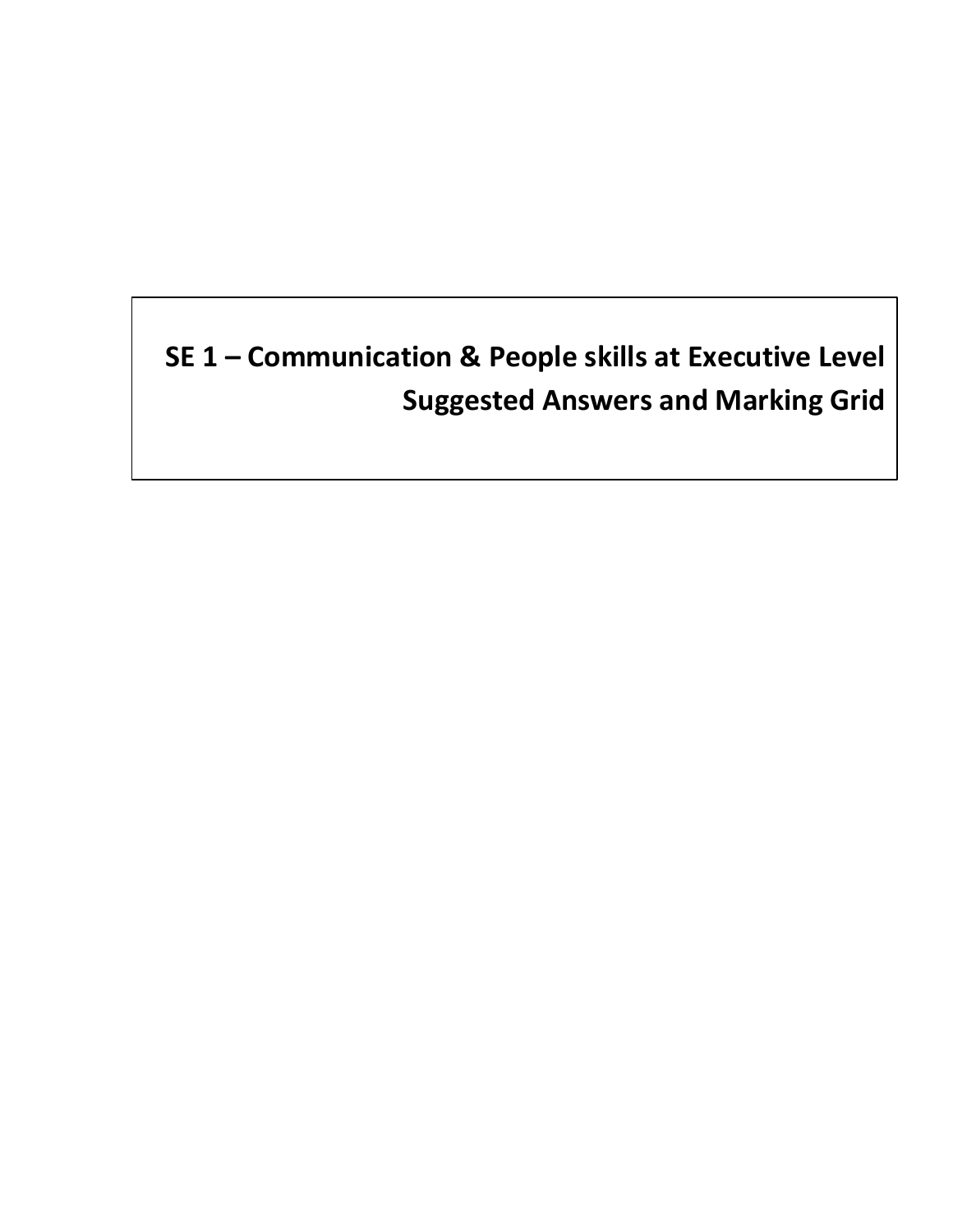# **SE 1 – Communication & People skills at Executive Level Suggested Answers and Marking Grid**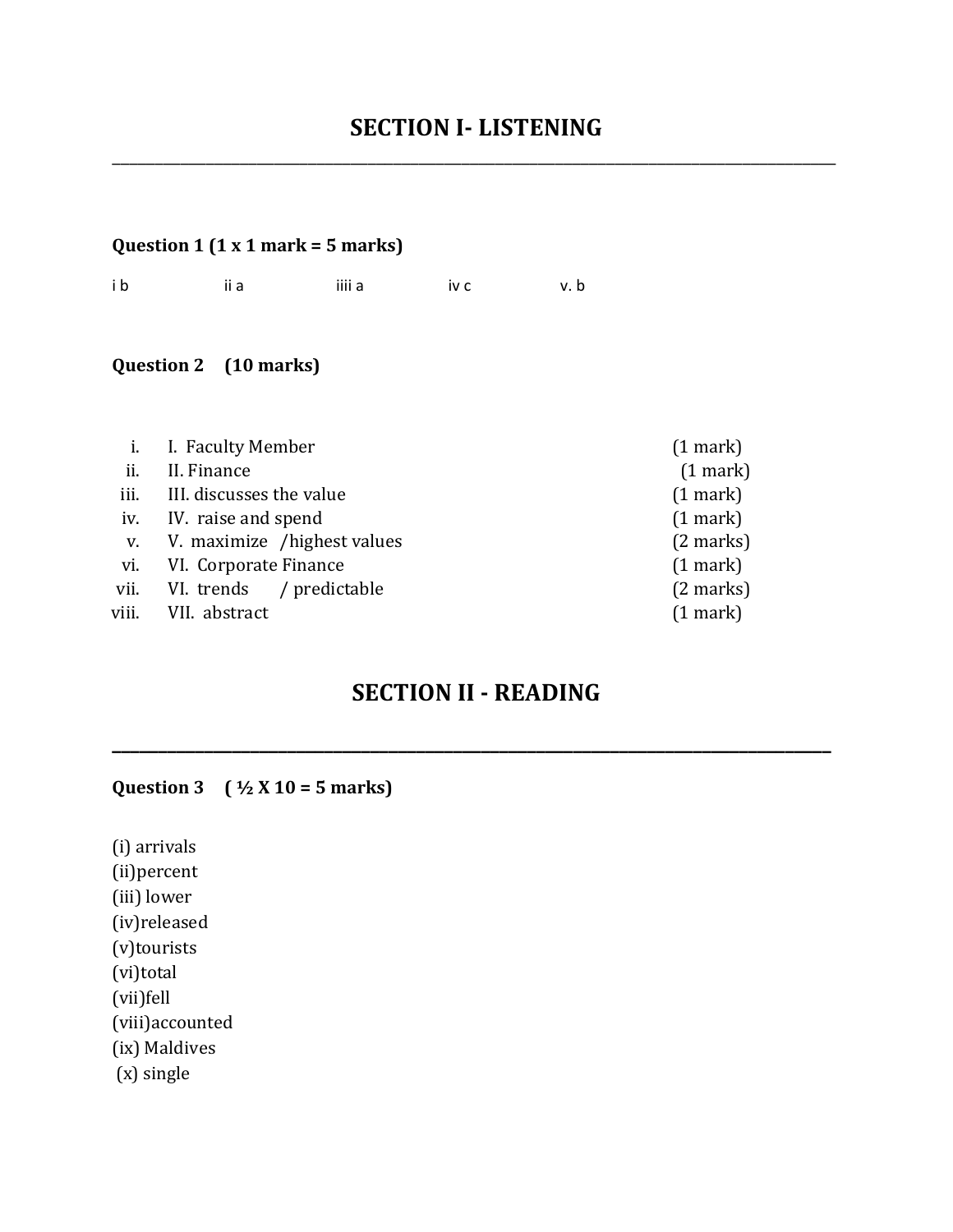# **SECTION I- LISTENING** \_\_\_\_\_\_\_\_\_\_\_\_\_\_\_\_\_\_\_\_\_\_\_\_\_\_\_\_\_\_\_\_\_\_\_\_\_\_\_\_\_\_\_\_\_\_\_\_\_\_\_\_\_\_\_\_\_\_\_\_\_\_\_\_\_\_\_\_\_\_\_\_\_\_\_\_\_\_\_\_\_\_\_\_\_

## **Question 1 (1 x 1 mark = 5 marks)**

i b ii a iiii a iv c v. b

#### **Question 2 (10 marks)**

|       | i. I. Faculty Member          | $(1$ mark)          |
|-------|-------------------------------|---------------------|
| ii.   | II. Finance                   | $(1$ mark $)$       |
|       | iii. III. discusses the value | (1 mark)            |
|       | iv. IV. raise and spend       | (1 mark)            |
| V.    | V. maximize /highest values   | $(2 \text{ marks})$ |
| vi.   | VI. Corporate Finance         | (1 mark)            |
| vii.  | VI. trends / predictable      | $(2 \text{ marks})$ |
| viii. | VII. abstract                 | (1 mark)            |
|       |                               |                     |

# **SECTION II - READING**

**\_\_\_\_\_\_\_\_\_\_\_\_\_\_\_\_\_\_\_\_\_\_\_\_\_\_\_\_\_\_\_\_\_\_\_\_\_\_\_\_\_\_\_\_\_\_\_\_\_\_\_\_\_\_\_\_\_\_\_\_\_\_\_\_\_\_\_\_\_\_\_\_\_\_\_\_\_\_**

#### **Question 3 ( ½ X 10 = 5 marks)**

(i) arrivals (ii)percent (iii) lower (iv)released (v)tourists (vi)total (vii)fell (viii)accounted (ix) Maldives (x) single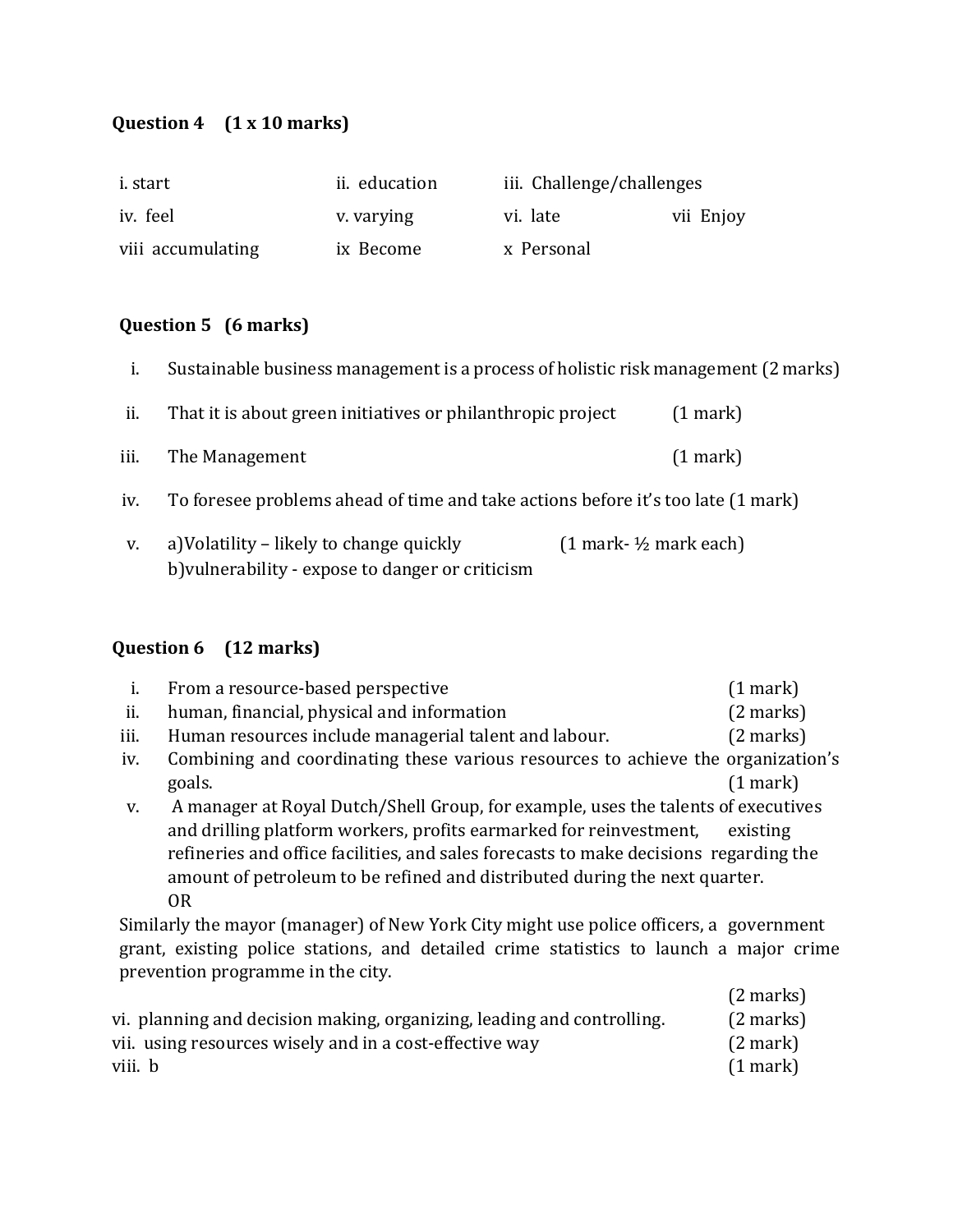# **Question 4 (1 x 10 marks)**

| i. start          | ii. education | iii. Challenge/challenges |           |
|-------------------|---------------|---------------------------|-----------|
| iv. feel          | v. varying    | vi. late                  | vii Enjoy |
| viii accumulating | ix Become     | x Personal                |           |

#### **Question 5 (6 marks)**

| i.   | Sustainable business management is a process of holistic risk management (2 marks)           |                         |            |
|------|----------------------------------------------------------------------------------------------|-------------------------|------------|
| ii.  | That it is about green initiatives or philanthropic project                                  |                         | $(1$ mark) |
| iii. | The Management                                                                               |                         | $(1$ mark) |
| iv.  | To foresee problems ahead of time and take actions before it's too late (1 mark)             |                         |            |
| V.   | a) Volatility – likely to change quickly<br>b) vulnerability - expose to danger or criticism | $(1$ mark- ½ mark each) |            |

## **Question 6 (12 marks)**

| i.   | From a resource-based perspective                                                                                                                                   | $(1$ mark) |  |
|------|---------------------------------------------------------------------------------------------------------------------------------------------------------------------|------------|--|
| ii.  | human, financial, physical and information                                                                                                                          | (2 marks)  |  |
| iii. | Human resources include managerial talent and labour.                                                                                                               | (2 marks)  |  |
| iv.  | Combining and coordinating these various resources to achieve the organization's                                                                                    |            |  |
|      | goals.                                                                                                                                                              | $(1$ mark) |  |
| V.   | A manager at Royal Dutch/Shell Group, for example, uses the talents of executives                                                                                   |            |  |
|      | and drilling platform workers, profits earmarked for reinvestment,                                                                                                  | existing   |  |
|      | refineries and office facilities, and sales forecasts to make decisions regarding the<br>amount of petroleum to be refined and distributed during the next quarter. |            |  |
|      |                                                                                                                                                                     |            |  |
|      | <b>OR</b>                                                                                                                                                           |            |  |

Similarly the mayor (manager) of New York City might use police officers, a government grant, existing police stations, and detailed crime statistics to launch a major crime prevention programme in the city.

|                                                                        | $(2 \text{ marks})$ |
|------------------------------------------------------------------------|---------------------|
| vi. planning and decision making, organizing, leading and controlling. | $(2 \text{ marks})$ |
| vii. using resources wisely and in a cost-effective way                | (2 mark)            |
| viii. b                                                                | $(1$ mark)          |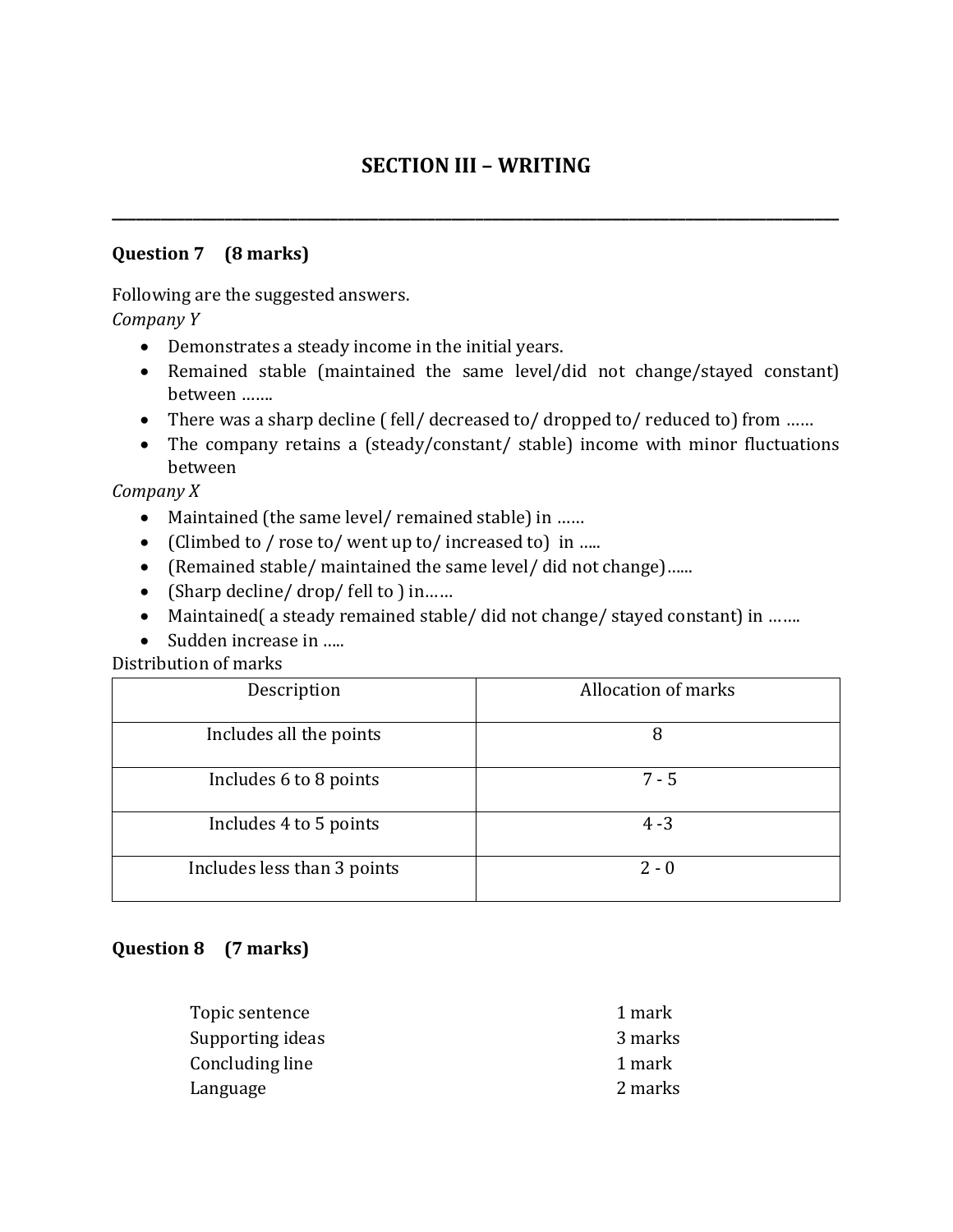# **SECTION III – WRITING**

**\_\_\_\_\_\_\_\_\_\_\_\_\_\_\_\_\_\_\_\_\_\_\_\_\_\_\_\_\_\_\_\_\_\_\_\_\_\_\_\_\_\_\_\_\_\_\_\_\_\_\_\_\_\_\_\_\_\_\_\_\_\_\_\_\_\_\_\_\_\_\_\_\_\_\_\_\_\_\_\_\_\_\_\_\_\_\_\_\_\_**

#### **Question 7 (8 marks)**

Following are the suggested answers.

*Company Y* 

- Demonstrates a steady income in the initial years.
- Remained stable (maintained the same level/did not change/stayed constant) between …….
- There was a sharp decline ( fell/ decreased to/ dropped to/ reduced to) from ......
- The company retains a (steady/constant/ stable) income with minor fluctuations between

*Company X*

- Maintained (the same level/ remained stable) in ……
- (Climbed to / rose to/ went up to/ increased to) in .....
- (Remained stable/ maintained the same level/ did not change)…...
- (Sharp decline/ drop/ fell to ) in……
- Maintained( a steady remained stable/ did not change/ stayed constant) in …….
- Sudden increase in …..

Distribution of marks

| Description                 | Allocation of marks |
|-----------------------------|---------------------|
| Includes all the points     | 8                   |
| Includes 6 to 8 points      | $7 - 5$             |
| Includes 4 to 5 points      | $4 - 3$             |
| Includes less than 3 points | $2 - 0$             |

#### **Question 8 (7 marks)**

| Topic sentence   | 1 mark  |
|------------------|---------|
| Supporting ideas | 3 marks |
| Concluding line  | 1 mark  |
| Language         | 2 marks |